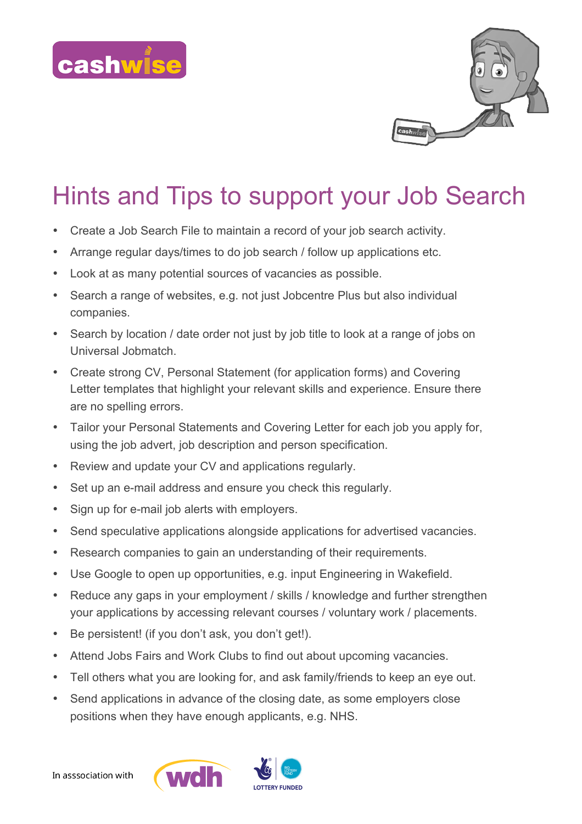



## Hints and Tips to support your Job Search

- Create a Job Search File to maintain a record of your job search activity.
- Arrange regular days/times to do job search / follow up applications etc.
- Look at as many potential sources of vacancies as possible.
- Search a range of websites, e.g. not just Jobcentre Plus but also individual companies.
- Search by location / date order not just by job title to look at a range of jobs on Universal Jobmatch.
- Create strong CV, Personal Statement (for application forms) and Covering Letter templates that highlight your relevant skills and experience. Ensure there are no spelling errors.
- Tailor your Personal Statements and Covering Letter for each job you apply for, using the job advert, job description and person specification.
- Review and update your CV and applications regularly.
- Set up an e-mail address and ensure you check this regularly.
- Sign up for e-mail job alerts with employers.
- Send speculative applications alongside applications for advertised vacancies.
- Research companies to gain an understanding of their requirements.
- Use Google to open up opportunities, e.g. input Engineering in Wakefield.
- Reduce any gaps in your employment / skills / knowledge and further strengthen your applications by accessing relevant courses / voluntary work / placements.
- Be persistent! (if you don't ask, you don't get!).
- Attend Jobs Fairs and Work Clubs to find out about upcoming vacancies.
- Tell others what you are looking for, and ask family/friends to keep an eye out.
- Send applications in advance of the closing date, as some employers close positions when they have enough applicants, e.g. NHS.